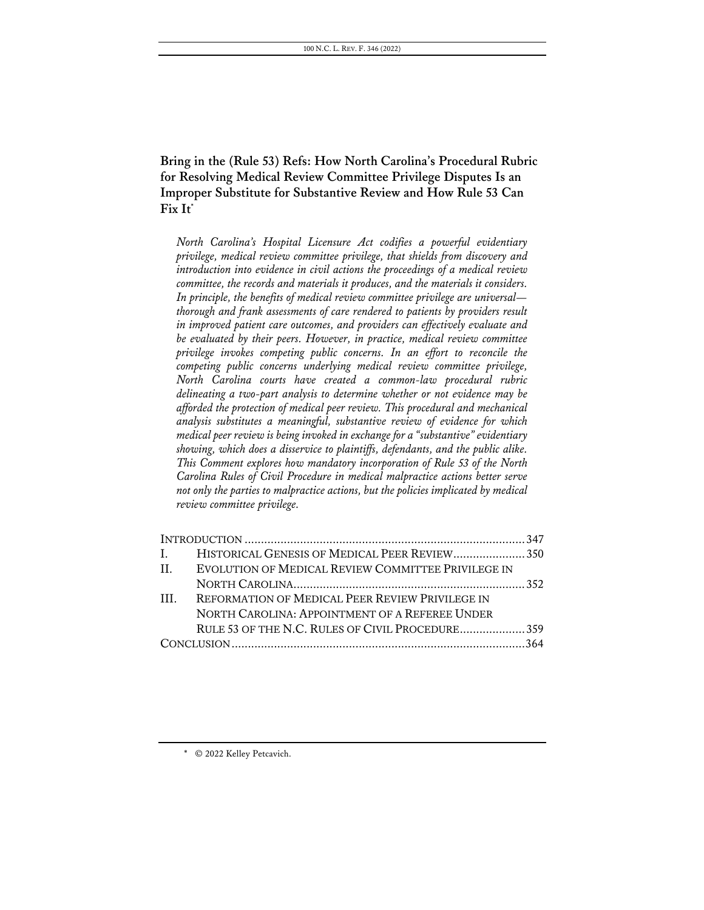**Bring in the (Rule 53) Refs: How North Carolina's Procedural Rubric for Resolving Medical Review Committee Privilege Disputes Is an Improper Substitute for Substantive Review and How Rule 53 Can Fix It\***

*North Carolina's Hospital Licensure Act codifies a powerful evidentiary privilege, medical review committee privilege, that shields from discovery and introduction into evidence in civil actions the proceedings of a medical review committee, the records and materials it produces, and the materials it considers. In principle, the benefits of medical review committee privilege are universal thorough and frank assessments of care rendered to patients by providers result in improved patient care outcomes, and providers can effectively evaluate and be evaluated by their peers. However, in practice, medical review committee privilege invokes competing public concerns. In an effort to reconcile the competing public concerns underlying medical review committee privilege, North Carolina courts have created a common-law procedural rubric delineating a two-part analysis to determine whether or not evidence may be afforded the protection of medical peer review. This procedural and mechanical analysis substitutes a meaningful, substantive review of evidence for which medical peer review is being invoked in exchange for a "substantive" evidentiary showing, which does a disservice to plaintiffs, defendants, and the public alike. This Comment explores how mandatory incorporation of Rule 53 of the North Carolina Rules of Civil Procedure in medical malpractice actions better serve not only the parties to malpractice actions, but the policies implicated by medical review committee privilege.*

| I. HISTORICAL GENESIS OF MEDICAL PEER REVIEW 350       |                                                 |
|--------------------------------------------------------|-------------------------------------------------|
| II. EVOLUTION OF MEDICAL REVIEW COMMITTEE PRIVILEGE IN |                                                 |
|                                                        |                                                 |
| REFORMATION OF MEDICAL PEER REVIEW PRIVILEGE IN        |                                                 |
| NORTH CAROLINA: APPOINTMENT OF A REFEREE UNDER         |                                                 |
|                                                        |                                                 |
|                                                        |                                                 |
|                                                        | RULE 53 OF THE N.C. RULES OF CIVIL PROCEDURE359 |

\* © 2022 Kelley Petcavich.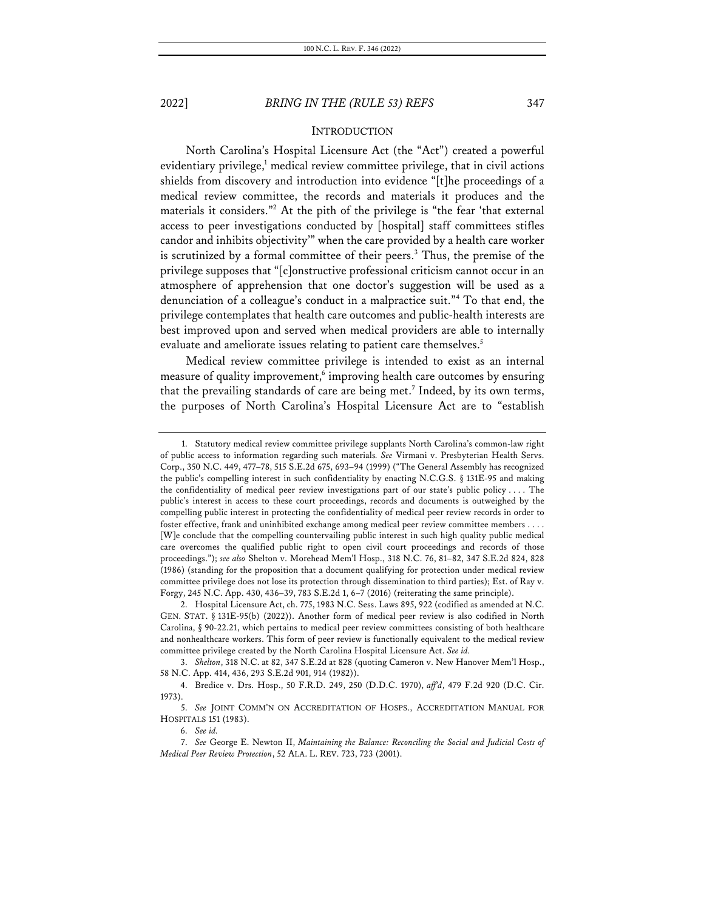### **INTRODUCTION**

North Carolina's Hospital Licensure Act (the "Act") created a powerful evidentiary privilege, $1$  medical review committee privilege, that in civil actions shields from discovery and introduction into evidence "[t]he proceedings of a medical review committee, the records and materials it produces and the materials it considers."2 At the pith of the privilege is "the fear 'that external access to peer investigations conducted by [hospital] staff committees stifles candor and inhibits objectivity'" when the care provided by a health care worker is scrutinized by a formal committee of their peers.<sup>3</sup> Thus, the premise of the privilege supposes that "[c]onstructive professional criticism cannot occur in an atmosphere of apprehension that one doctor's suggestion will be used as a denunciation of a colleague's conduct in a malpractice suit."4 To that end, the privilege contemplates that health care outcomes and public-health interests are best improved upon and served when medical providers are able to internally evaluate and ameliorate issues relating to patient care themselves.<sup>5</sup>

Medical review committee privilege is intended to exist as an internal measure of quality improvement,<sup>6</sup> improving health care outcomes by ensuring that the prevailing standards of care are being met.<sup>7</sup> Indeed, by its own terms, the purposes of North Carolina's Hospital Licensure Act are to "establish

<sup>1.</sup> Statutory medical review committee privilege supplants North Carolina's common-law right of public access to information regarding such materials*. See* Virmani v. Presbyterian Health Servs. Corp., 350 N.C. 449, 477–78, 515 S.E.2d 675, 693–94 (1999) ("The General Assembly has recognized the public's compelling interest in such confidentiality by enacting N.C.G.S. § 131E-95 and making the confidentiality of medical peer review investigations part of our state's public policy . . . . The public's interest in access to these court proceedings, records and documents is outweighed by the compelling public interest in protecting the confidentiality of medical peer review records in order to foster effective, frank and uninhibited exchange among medical peer review committee members . . . . [W]e conclude that the compelling countervailing public interest in such high quality public medical care overcomes the qualified public right to open civil court proceedings and records of those proceedings."); *see also* Shelton v. Morehead Mem'l Hosp., 318 N.C. 76, 81–82, 347 S.E.2d 824, 828 (1986) (standing for the proposition that a document qualifying for protection under medical review committee privilege does not lose its protection through dissemination to third parties); Est. of Ray v. Forgy, 245 N.C. App. 430, 436–39, 783 S.E.2d 1, 6–7 (2016) (reiterating the same principle).

<sup>2.</sup> Hospital Licensure Act, ch. 775, 1983 N.C. Sess. Laws 895, 922 (codified as amended at N.C. GEN. STAT. § 131E-95(b) (2022)). Another form of medical peer review is also codified in North Carolina, § 90-22.21, which pertains to medical peer review committees consisting of both healthcare and nonhealthcare workers. This form of peer review is functionally equivalent to the medical review committee privilege created by the North Carolina Hospital Licensure Act. *See id.*

<sup>3.</sup> *Shelton*, 318 N.C. at 82, 347 S.E.2d at 828 (quoting Cameron v. New Hanover Mem'l Hosp., 58 N.C. App. 414, 436, 293 S.E.2d 901, 914 (1982)).

<sup>4.</sup> Bredice v. Drs. Hosp., 50 F.R.D. 249, 250 (D.D.C. 1970), *aff'd*, 479 F.2d 920 (D.C. Cir. 1973).

<sup>5.</sup> *See* JOINT COMM'N ON ACCREDITATION OF HOSPS., ACCREDITATION MANUAL FOR HOSPITALS 151 (1983).

<sup>6.</sup> *See id.*

<sup>7.</sup> *See* George E. Newton II, *Maintaining the Balance: Reconciling the Social and Judicial Costs of Medical Peer Review Protection*, 52 ALA. L. REV. 723, 723 (2001).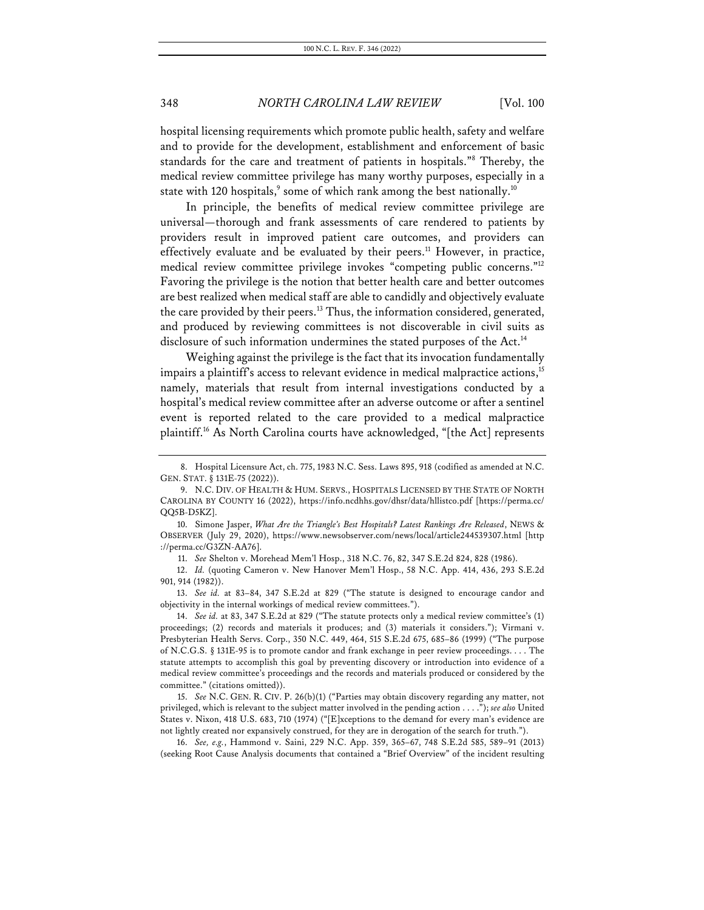hospital licensing requirements which promote public health, safety and welfare and to provide for the development, establishment and enforcement of basic standards for the care and treatment of patients in hospitals."8 Thereby, the medical review committee privilege has many worthy purposes, especially in a state with 120 hospitals, $^{\circ}$  some of which rank among the best nationally. $^{10}$ 

In principle, the benefits of medical review committee privilege are universal—thorough and frank assessments of care rendered to patients by providers result in improved patient care outcomes, and providers can effectively evaluate and be evaluated by their peers.<sup>11</sup> However, in practice, medical review committee privilege invokes "competing public concerns."12 Favoring the privilege is the notion that better health care and better outcomes are best realized when medical staff are able to candidly and objectively evaluate the care provided by their peers.<sup>13</sup> Thus, the information considered, generated, and produced by reviewing committees is not discoverable in civil suits as disclosure of such information undermines the stated purposes of the Act.<sup>14</sup>

Weighing against the privilege is the fact that its invocation fundamentally impairs a plaintiff's access to relevant evidence in medical malpractice actions, 15 namely, materials that result from internal investigations conducted by a hospital's medical review committee after an adverse outcome or after a sentinel event is reported related to the care provided to a medical malpractice plaintiff.16 As North Carolina courts have acknowledged, "[the Act] represents

<sup>8.</sup> Hospital Licensure Act, ch. 775, 1983 N.C. Sess. Laws 895, 918 (codified as amended at N.C. GEN. STAT. § 131E-75 (2022)).

<sup>9.</sup> N.C. DIV. OF HEALTH & HUM. SERVS., HOSPITALS LICENSED BY THE STATE OF NORTH CAROLINA BY COUNTY 16 (2022), https://info.ncdhhs.gov/dhsr/data/hllistco.pdf [https://perma.cc/ QQ5B-D5KZ].

<sup>10.</sup> Simone Jasper, *What Are the Triangle's Best Hospitals? Latest Rankings Are Released*, NEWS & OBSERVER (July 29, 2020), https://www.newsobserver.com/news/local/article244539307.html [http ://perma.cc/G3ZN-AA76].

<sup>11.</sup> *See* Shelton v. Morehead Mem'l Hosp., 318 N.C. 76, 82, 347 S.E.2d 824, 828 (1986).

<sup>12.</sup> *Id.* (quoting Cameron v. New Hanover Mem'l Hosp., 58 N.C. App. 414, 436, 293 S.E.2d 901, 914 (1982)).

<sup>13.</sup> *See id.* at 83–84, 347 S.E.2d at 829 ("The statute is designed to encourage candor and objectivity in the internal workings of medical review committees.").

<sup>14.</sup> *See id.* at 83, 347 S.E.2d at 829 ("The statute protects only a medical review committee's (1) proceedings; (2) records and materials it produces; and (3) materials it considers."); Virmani v. Presbyterian Health Servs. Corp., 350 N.C. 449, 464, 515 S.E.2d 675, 685–86 (1999) ("The purpose of N.C.G.S. § 131E-95 is to promote candor and frank exchange in peer review proceedings. . . . The statute attempts to accomplish this goal by preventing discovery or introduction into evidence of a medical review committee's proceedings and the records and materials produced or considered by the committee." (citations omitted)).

<sup>15.</sup> *See* N.C. GEN. R. CIV. P. 26(b)(1) ("Parties may obtain discovery regarding any matter, not privileged, which is relevant to the subject matter involved in the pending action . . . ."); *see also* United States v. Nixon, 418 U.S. 683, 710 (1974) ("[E]xceptions to the demand for every man's evidence are not lightly created nor expansively construed, for they are in derogation of the search for truth.").

<sup>16.</sup> *See, e.g.*, Hammond v. Saini, 229 N.C. App. 359, 365–67, 748 S.E.2d 585, 589–91 (2013) (seeking Root Cause Analysis documents that contained a "Brief Overview" of the incident resulting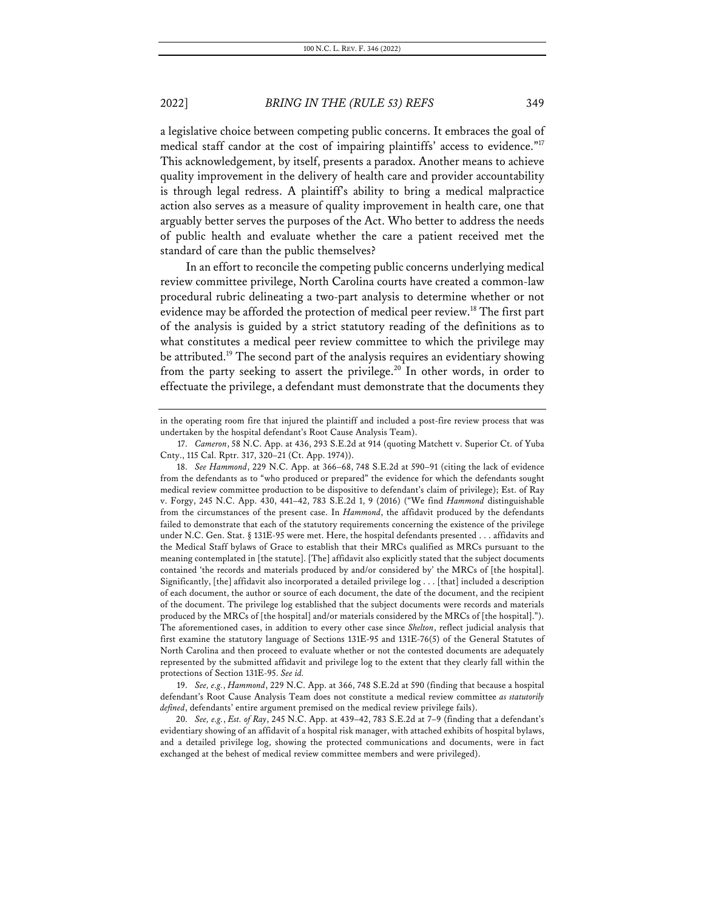a legislative choice between competing public concerns. It embraces the goal of medical staff candor at the cost of impairing plaintiffs' access to evidence."<sup>17</sup> This acknowledgement, by itself, presents a paradox. Another means to achieve quality improvement in the delivery of health care and provider accountability is through legal redress. A plaintiff's ability to bring a medical malpractice action also serves as a measure of quality improvement in health care, one that arguably better serves the purposes of the Act. Who better to address the needs of public health and evaluate whether the care a patient received met the standard of care than the public themselves?

In an effort to reconcile the competing public concerns underlying medical review committee privilege, North Carolina courts have created a common-law procedural rubric delineating a two-part analysis to determine whether or not evidence may be afforded the protection of medical peer review.18 The first part of the analysis is guided by a strict statutory reading of the definitions as to what constitutes a medical peer review committee to which the privilege may be attributed.19 The second part of the analysis requires an evidentiary showing from the party seeking to assert the privilege.<sup>20</sup> In other words, in order to effectuate the privilege, a defendant must demonstrate that the documents they

19. *See, e.g.*, *Hammond*, 229 N.C. App. at 366, 748 S.E.2d at 590 (finding that because a hospital defendant's Root Cause Analysis Team does not constitute a medical review committee *as statutorily defined*, defendants' entire argument premised on the medical review privilege fails).

20. *See, e.g.*, *Est. of Ray*, 245 N.C. App. at 439–42, 783 S.E.2d at 7–9 (finding that a defendant's evidentiary showing of an affidavit of a hospital risk manager, with attached exhibits of hospital bylaws, and a detailed privilege log, showing the protected communications and documents, were in fact exchanged at the behest of medical review committee members and were privileged).

in the operating room fire that injured the plaintiff and included a post-fire review process that was undertaken by the hospital defendant's Root Cause Analysis Team).

<sup>17.</sup> *Cameron*, 58 N.C. App. at 436, 293 S.E.2d at 914 (quoting Matchett v. Superior Ct. of Yuba Cnty., 115 Cal. Rptr. 317, 320–21 (Ct. App. 1974)).

<sup>18.</sup> *See Hammond*, 229 N.C. App. at 366–68, 748 S.E.2d at 590–91 (citing the lack of evidence from the defendants as to "who produced or prepared" the evidence for which the defendants sought medical review committee production to be dispositive to defendant's claim of privilege); Est. of Ray v. Forgy, 245 N.C. App. 430, 441–42, 783 S.E.2d 1, 9 (2016) ("We find *Hammond* distinguishable from the circumstances of the present case. In *Hammond*, the affidavit produced by the defendants failed to demonstrate that each of the statutory requirements concerning the existence of the privilege under N.C. Gen. Stat. § 131E-95 were met. Here, the hospital defendants presented . . . affidavits and the Medical Staff bylaws of Grace to establish that their MRCs qualified as MRCs pursuant to the meaning contemplated in [the statute]. [The] affidavit also explicitly stated that the subject documents contained 'the records and materials produced by and/or considered by' the MRCs of [the hospital]. Significantly, [the] affidavit also incorporated a detailed privilege log . . . [that] included a description of each document, the author or source of each document, the date of the document, and the recipient of the document. The privilege log established that the subject documents were records and materials produced by the MRCs of [the hospital] and/or materials considered by the MRCs of [the hospital]."). The aforementioned cases, in addition to every other case since *Shelton*, reflect judicial analysis that first examine the statutory language of Sections 131E-95 and 131E-76(5) of the General Statutes of North Carolina and then proceed to evaluate whether or not the contested documents are adequately represented by the submitted affidavit and privilege log to the extent that they clearly fall within the protections of Section 131E-95. *See id.*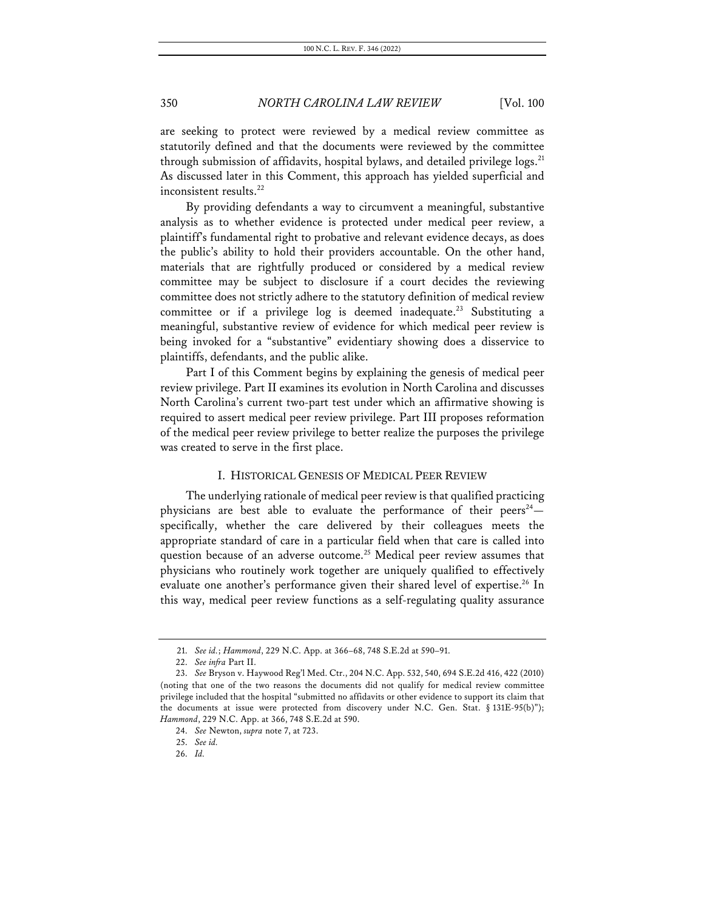are seeking to protect were reviewed by a medical review committee as statutorily defined and that the documents were reviewed by the committee through submission of affidavits, hospital bylaws, and detailed privilege  $\log s$ <sup>21</sup> As discussed later in this Comment, this approach has yielded superficial and inconsistent results.<sup>22</sup>

By providing defendants a way to circumvent a meaningful, substantive analysis as to whether evidence is protected under medical peer review, a plaintiff's fundamental right to probative and relevant evidence decays, as does the public's ability to hold their providers accountable. On the other hand, materials that are rightfully produced or considered by a medical review committee may be subject to disclosure if a court decides the reviewing committee does not strictly adhere to the statutory definition of medical review committee or if a privilege log is deemed inadequate.<sup>23</sup> Substituting a meaningful, substantive review of evidence for which medical peer review is being invoked for a "substantive" evidentiary showing does a disservice to plaintiffs, defendants, and the public alike.

Part I of this Comment begins by explaining the genesis of medical peer review privilege. Part II examines its evolution in North Carolina and discusses North Carolina's current two-part test under which an affirmative showing is required to assert medical peer review privilege. Part III proposes reformation of the medical peer review privilege to better realize the purposes the privilege was created to serve in the first place.

#### I. HISTORICAL GENESIS OF MEDICAL PEER REVIEW

The underlying rationale of medical peer review is that qualified practicing physicians are best able to evaluate the performance of their peers<sup>24</sup>specifically, whether the care delivered by their colleagues meets the appropriate standard of care in a particular field when that care is called into question because of an adverse outcome.<sup>25</sup> Medical peer review assumes that physicians who routinely work together are uniquely qualified to effectively evaluate one another's performance given their shared level of expertise.<sup>26</sup> In this way, medical peer review functions as a self-regulating quality assurance

<sup>21.</sup> *See id.*; *Hammond*, 229 N.C. App. at 366–68, 748 S.E.2d at 590–91.

<sup>22.</sup> *See infra* Part II.

<sup>23.</sup> *See* Bryson v. Haywood Reg'l Med. Ctr., 204 N.C. App. 532, 540, 694 S.E.2d 416, 422 (2010) (noting that one of the two reasons the documents did not qualify for medical review committee privilege included that the hospital "submitted no affidavits or other evidence to support its claim that the documents at issue were protected from discovery under N.C. Gen. Stat. § 131E-95(b)"); *Hammond*, 229 N.C. App. at 366, 748 S.E.2d at 590.

<sup>24.</sup> *See* Newton, *supra* note 7, at 723.

<sup>25.</sup> *See id.*

<sup>26.</sup> *Id.*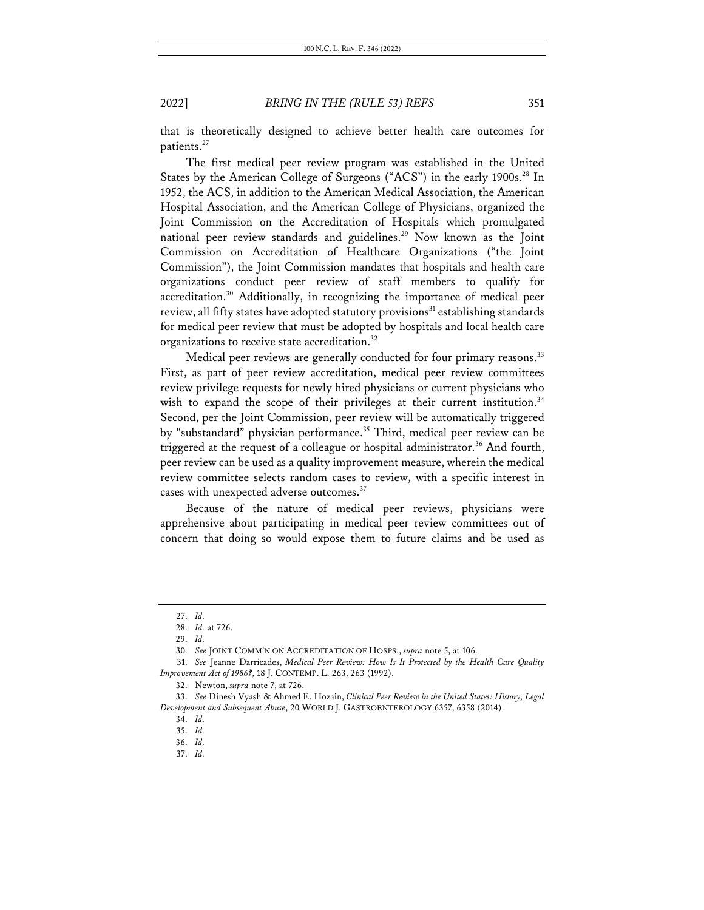that is theoretically designed to achieve better health care outcomes for patients.<sup>27</sup>

The first medical peer review program was established in the United States by the American College of Surgeons ("ACS") in the early 1900s.<sup>28</sup> In 1952, the ACS, in addition to the American Medical Association, the American Hospital Association, and the American College of Physicians, organized the Joint Commission on the Accreditation of Hospitals which promulgated national peer review standards and guidelines.<sup>29</sup> Now known as the Joint Commission on Accreditation of Healthcare Organizations ("the Joint Commission"), the Joint Commission mandates that hospitals and health care organizations conduct peer review of staff members to qualify for accreditation.30 Additionally, in recognizing the importance of medical peer review, all fifty states have adopted statutory provisions<sup>31</sup> establishing standards for medical peer review that must be adopted by hospitals and local health care organizations to receive state accreditation.<sup>32</sup>

Medical peer reviews are generally conducted for four primary reasons.<sup>33</sup> First, as part of peer review accreditation, medical peer review committees review privilege requests for newly hired physicians or current physicians who wish to expand the scope of their privileges at their current institution.<sup>34</sup> Second, per the Joint Commission, peer review will be automatically triggered by "substandard" physician performance.<sup>35</sup> Third, medical peer review can be triggered at the request of a colleague or hospital administrator.<sup>36</sup> And fourth, peer review can be used as a quality improvement measure, wherein the medical review committee selects random cases to review, with a specific interest in cases with unexpected adverse outcomes.<sup>37</sup>

Because of the nature of medical peer reviews, physicians were apprehensive about participating in medical peer review committees out of concern that doing so would expose them to future claims and be used as

37. *Id.*

<sup>27.</sup> *Id.*

<sup>28.</sup> *Id.* at 726.

<sup>29.</sup> *Id.*

<sup>30.</sup> *See* JOINT COMM'N ON ACCREDITATION OF HOSPS., *supra* note 5, at 106.

<sup>31.</sup> *See* Jeanne Darricades, *Medical Peer Review: How Is It Protected by the Health Care Quality Improvement Act of 1986?*, 18 J. CONTEMP. L. 263, 263 (1992).

<sup>32.</sup> Newton, *supra* note 7, at 726.

<sup>33.</sup> *See* Dinesh Vyash & Ahmed E. Hozain, *Clinical Peer Review in the United States: History, Legal Development and Subsequent Abuse*, 20 WORLD J. GASTROENTEROLOGY 6357, 6358 (2014).

<sup>34.</sup> *Id.*

<sup>35.</sup> *Id.*

<sup>36.</sup> *Id.*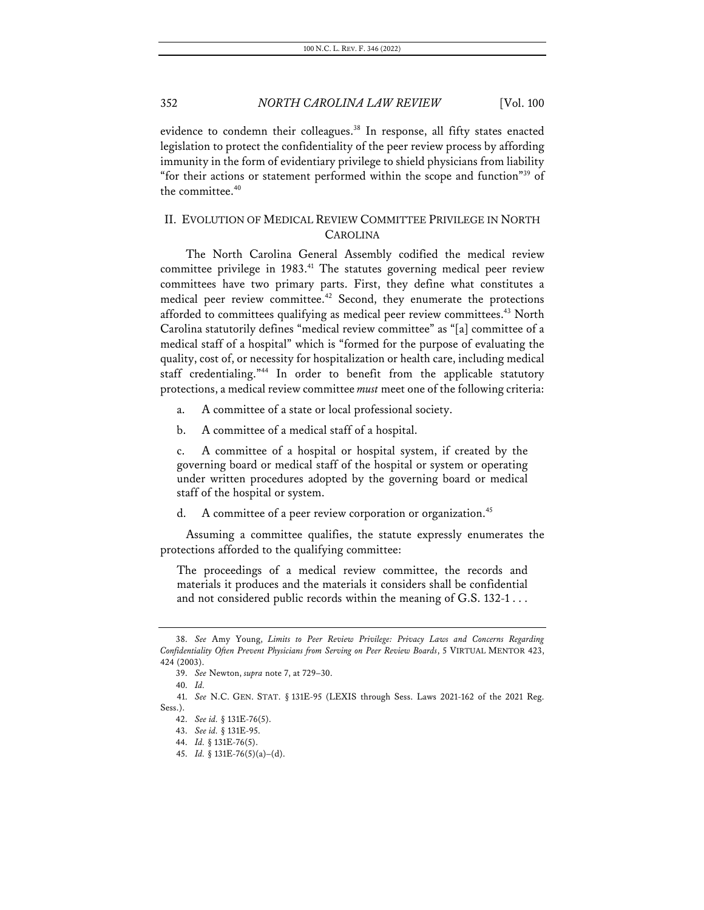evidence to condemn their colleagues.<sup>38</sup> In response, all fifty states enacted legislation to protect the confidentiality of the peer review process by affording immunity in the form of evidentiary privilege to shield physicians from liability "for their actions or statement performed within the scope and function"<sup>39</sup> of the committee.<sup>40</sup>

# II. EVOLUTION OF MEDICAL REVIEW COMMITTEE PRIVILEGE IN NORTH CAROLINA

The North Carolina General Assembly codified the medical review committee privilege in 1983.<sup>41</sup> The statutes governing medical peer review committees have two primary parts. First, they define what constitutes a medical peer review committee.<sup>42</sup> Second, they enumerate the protections afforded to committees qualifying as medical peer review committees.<sup>43</sup> North Carolina statutorily defines "medical review committee" as "[a] committee of a medical staff of a hospital" which is "formed for the purpose of evaluating the quality, cost of, or necessity for hospitalization or health care, including medical staff credentialing."<sup>44</sup> In order to benefit from the applicable statutory protections, a medical review committee *must* meet one of the following criteria:

- a. A committee of a state or local professional society.
- b. A committee of a medical staff of a hospital.

c. A committee of a hospital or hospital system, if created by the governing board or medical staff of the hospital or system or operating under written procedures adopted by the governing board or medical staff of the hospital or system.

d. A committee of a peer review corporation or organization.<sup>45</sup>

Assuming a committee qualifies, the statute expressly enumerates the protections afforded to the qualifying committee:

The proceedings of a medical review committee, the records and materials it produces and the materials it considers shall be confidential and not considered public records within the meaning of G.S. 132-1 . . .

<sup>38.</sup> *See* Amy Young, *Limits to Peer Review Privilege: Privacy Laws and Concerns Regarding Confidentiality Often Prevent Physicians from Serving on Peer Review Boards*, 5 VIRTUAL MENTOR 423, 424 (2003).

<sup>39.</sup> *See* Newton, *supra* note 7, at 729–30.

<sup>40.</sup> *Id.*

<sup>41.</sup> *See* N.C. GEN. STAT. § 131E-95 (LEXIS through Sess. Laws 2021-162 of the 2021 Reg. Sess.).

<sup>42.</sup> *See id.* § 131E-76(5).

<sup>43.</sup> *See id.* § 131E-95.

<sup>44.</sup> *Id.* § 131E-76(5).

<sup>45.</sup> *Id.* § 131E-76(5)(a)–(d).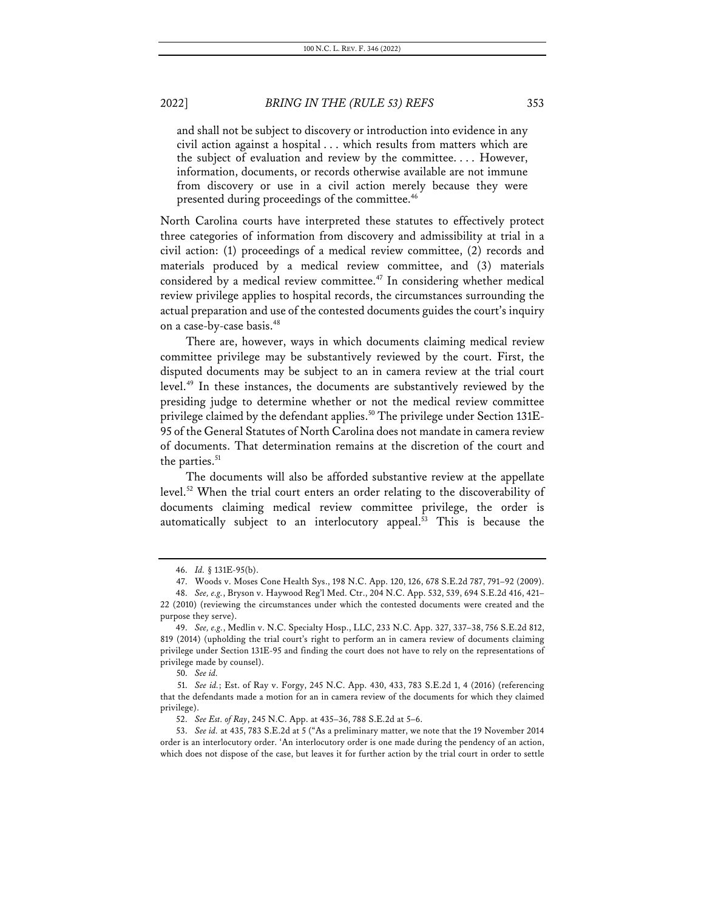and shall not be subject to discovery or introduction into evidence in any civil action against a hospital . . . which results from matters which are the subject of evaluation and review by the committee. . . . However, information, documents, or records otherwise available are not immune from discovery or use in a civil action merely because they were presented during proceedings of the committee.<sup>46</sup>

North Carolina courts have interpreted these statutes to effectively protect three categories of information from discovery and admissibility at trial in a civil action: (1) proceedings of a medical review committee, (2) records and materials produced by a medical review committee, and (3) materials considered by a medical review committee.<sup>47</sup> In considering whether medical review privilege applies to hospital records, the circumstances surrounding the actual preparation and use of the contested documents guides the court's inquiry on a case-by-case basis.<sup>48</sup>

There are, however, ways in which documents claiming medical review committee privilege may be substantively reviewed by the court. First, the disputed documents may be subject to an in camera review at the trial court level.49 In these instances, the documents are substantively reviewed by the presiding judge to determine whether or not the medical review committee privilege claimed by the defendant applies.<sup>50</sup> The privilege under Section 131E-95 of the General Statutes of North Carolina does not mandate in camera review of documents. That determination remains at the discretion of the court and the parties.<sup>51</sup>

The documents will also be afforded substantive review at the appellate level.<sup>52</sup> When the trial court enters an order relating to the discoverability of documents claiming medical review committee privilege, the order is automatically subject to an interlocutory appeal.<sup>53</sup> This is because the

<sup>46.</sup> *Id.* § 131E-95(b).

<sup>47.</sup> Woods v. Moses Cone Health Sys., 198 N.C. App. 120, 126, 678 S.E.2d 787, 791–92 (2009).

<sup>48.</sup> *See, e.g.*, Bryson v. Haywood Reg'l Med. Ctr., 204 N.C. App. 532, 539, 694 S.E.2d 416, 421– 22 (2010) (reviewing the circumstances under which the contested documents were created and the purpose they serve).

<sup>49.</sup> *See, e.g.*, Medlin v. N.C. Specialty Hosp., LLC, 233 N.C. App. 327, 337–38, 756 S.E.2d 812, 819 (2014) (upholding the trial court's right to perform an in camera review of documents claiming privilege under Section 131E-95 and finding the court does not have to rely on the representations of privilege made by counsel).

<sup>50.</sup> *See id.*

<sup>51.</sup> *See id.*; Est. of Ray v. Forgy, 245 N.C. App. 430, 433, 783 S.E.2d 1, 4 (2016) (referencing that the defendants made a motion for an in camera review of the documents for which they claimed privilege).

<sup>52.</sup> *See Est. of Ray*, 245 N.C. App. at 435–36, 788 S.E.2d at 5–6.

<sup>53.</sup> *See id.* at 435, 783 S.E.2d at 5 ("As a preliminary matter, we note that the 19 November 2014 order is an interlocutory order. 'An interlocutory order is one made during the pendency of an action, which does not dispose of the case, but leaves it for further action by the trial court in order to settle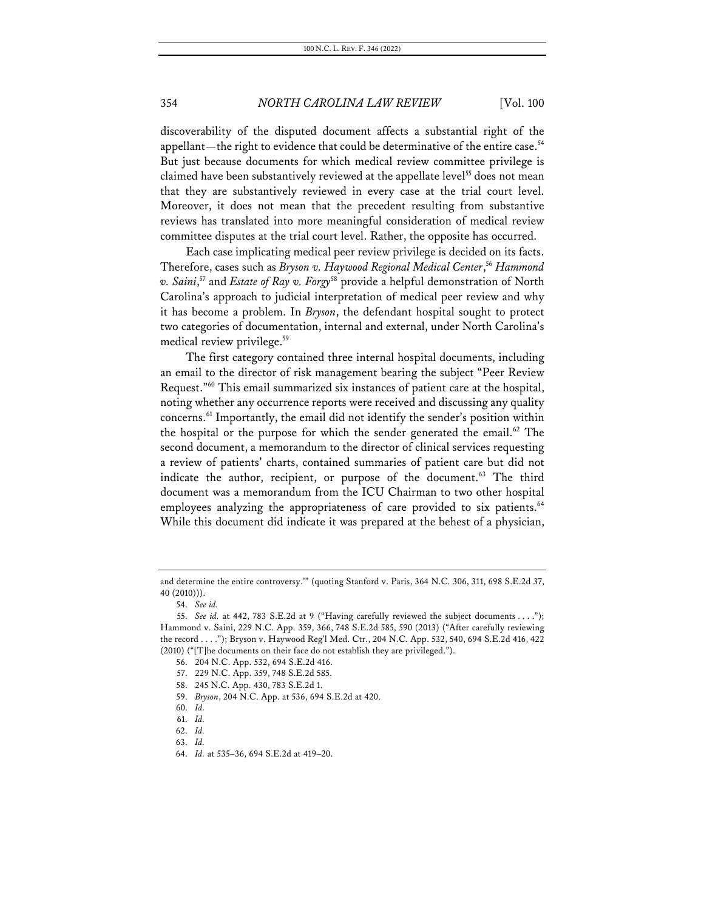discoverability of the disputed document affects a substantial right of the appellant—the right to evidence that could be determinative of the entire case.<sup>54</sup> But just because documents for which medical review committee privilege is claimed have been substantively reviewed at the appellate level<sup>55</sup> does not mean that they are substantively reviewed in every case at the trial court level. Moreover, it does not mean that the precedent resulting from substantive reviews has translated into more meaningful consideration of medical review committee disputes at the trial court level. Rather, the opposite has occurred.

Each case implicating medical peer review privilege is decided on its facts. Therefore, cases such as *Bryson v. Haywood Regional Medical Center*, <sup>56</sup> *Hammond v. Saini*, <sup>57</sup> and *Estate of Ray v. Forgy*<sup>58</sup> provide a helpful demonstration of North Carolina's approach to judicial interpretation of medical peer review and why it has become a problem. In *Bryson*, the defendant hospital sought to protect two categories of documentation, internal and external, under North Carolina's medical review privilege.<sup>59</sup>

The first category contained three internal hospital documents, including an email to the director of risk management bearing the subject "Peer Review Request."60 This email summarized six instances of patient care at the hospital, noting whether any occurrence reports were received and discussing any quality concerns. <sup>61</sup> Importantly, the email did not identify the sender's position within the hospital or the purpose for which the sender generated the email. <sup>62</sup> The second document, a memorandum to the director of clinical services requesting a review of patients' charts, contained summaries of patient care but did not indicate the author, recipient, or purpose of the document.<sup>63</sup> The third document was a memorandum from the ICU Chairman to two other hospital employees analyzing the appropriateness of care provided to six patients.<sup>64</sup> While this document did indicate it was prepared at the behest of a physician,

and determine the entire controversy.'" (quoting Stanford v. Paris, 364 N.C. 306, 311, 698 S.E.2d 37, 40 (2010))).

<sup>54.</sup> *See id.*

<sup>55.</sup> *See id.* at 442, 783 S.E.2d at 9 ("Having carefully reviewed the subject documents . . . ."); Hammond v. Saini, 229 N.C. App. 359, 366, 748 S.E.2d 585, 590 (2013) ("After carefully reviewing the record . . . ."); Bryson v. Haywood Reg'l Med. Ctr., 204 N.C. App. 532, 540, 694 S.E.2d 416, 422 (2010) ("[T]he documents on their face do not establish they are privileged.").

<sup>56.</sup> 204 N.C. App. 532, 694 S.E.2d 416.

<sup>57.</sup> 229 N.C. App. 359, 748 S.E.2d 585.

<sup>58.</sup> 245 N.C. App. 430, 783 S.E.2d 1.

<sup>59.</sup> *Bryson*, 204 N.C. App. at 536, 694 S.E.2d at 420.

<sup>60.</sup> *Id.*

<sup>61.</sup> *Id.*

<sup>62.</sup> *Id.*

<sup>63.</sup> *Id.*

<sup>64.</sup> *Id.* at 535–36, 694 S.E.2d at 419–20.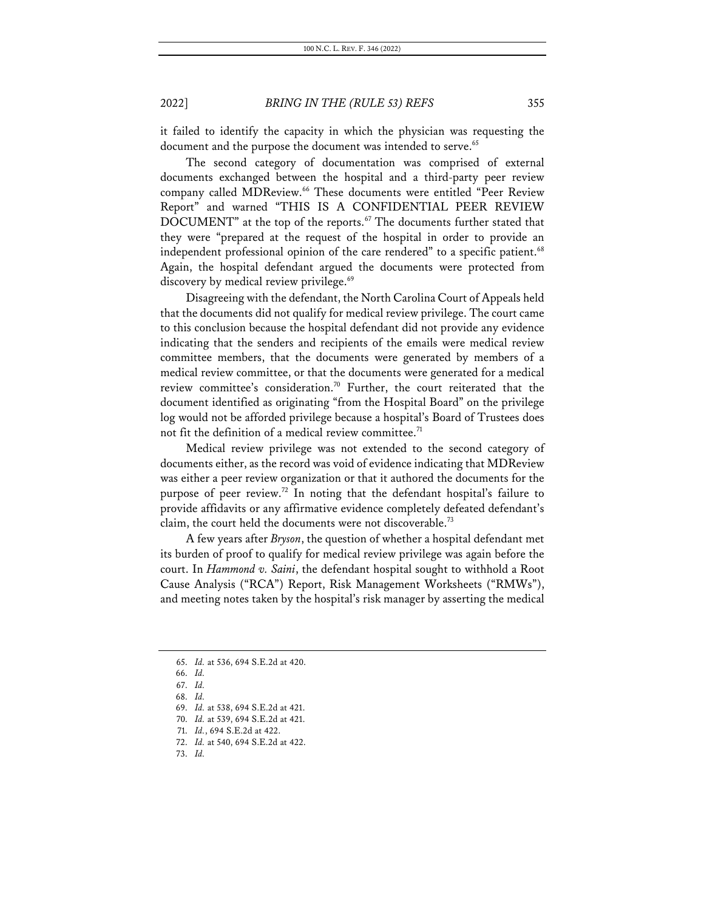it failed to identify the capacity in which the physician was requesting the document and the purpose the document was intended to serve.<sup>65</sup>

The second category of documentation was comprised of external documents exchanged between the hospital and a third-party peer review company called MDReview.<sup>66</sup> These documents were entitled "Peer Review Report" and warned "THIS IS A CONFIDENTIAL PEER REVIEW DOCUMENT" at the top of the reports.<sup>67</sup> The documents further stated that they were "prepared at the request of the hospital in order to provide an independent professional opinion of the care rendered" to a specific patient.<sup>68</sup> Again, the hospital defendant argued the documents were protected from discovery by medical review privilege.<sup>69</sup>

Disagreeing with the defendant, the North Carolina Court of Appeals held that the documents did not qualify for medical review privilege. The court came to this conclusion because the hospital defendant did not provide any evidence indicating that the senders and recipients of the emails were medical review committee members, that the documents were generated by members of a medical review committee, or that the documents were generated for a medical review committee's consideration.<sup>70</sup> Further, the court reiterated that the document identified as originating "from the Hospital Board" on the privilege log would not be afforded privilege because a hospital's Board of Trustees does not fit the definition of a medical review committee.<sup>71</sup>

Medical review privilege was not extended to the second category of documents either, as the record was void of evidence indicating that MDReview was either a peer review organization or that it authored the documents for the purpose of peer review.<sup>72</sup> In noting that the defendant hospital's failure to provide affidavits or any affirmative evidence completely defeated defendant's claim, the court held the documents were not discoverable.73

A few years after *Bryson*, the question of whether a hospital defendant met its burden of proof to qualify for medical review privilege was again before the court. In *Hammond v. Saini*, the defendant hospital sought to withhold a Root Cause Analysis ("RCA") Report, Risk Management Worksheets ("RMWs"), and meeting notes taken by the hospital's risk manager by asserting the medical

<sup>65.</sup> *Id.* at 536, 694 S.E.2d at 420.

<sup>66.</sup> *Id.*

<sup>67.</sup> *Id.*

<sup>68.</sup> *Id.*

<sup>69.</sup> *Id.* at 538, 694 S.E.2d at 421.

<sup>70.</sup> *Id.* at 539, 694 S.E.2d at 421.

<sup>71.</sup> *Id.*, 694 S.E.2d at 422.

<sup>72.</sup> *Id.* at 540, 694 S.E.2d at 422.

<sup>73.</sup> *Id.*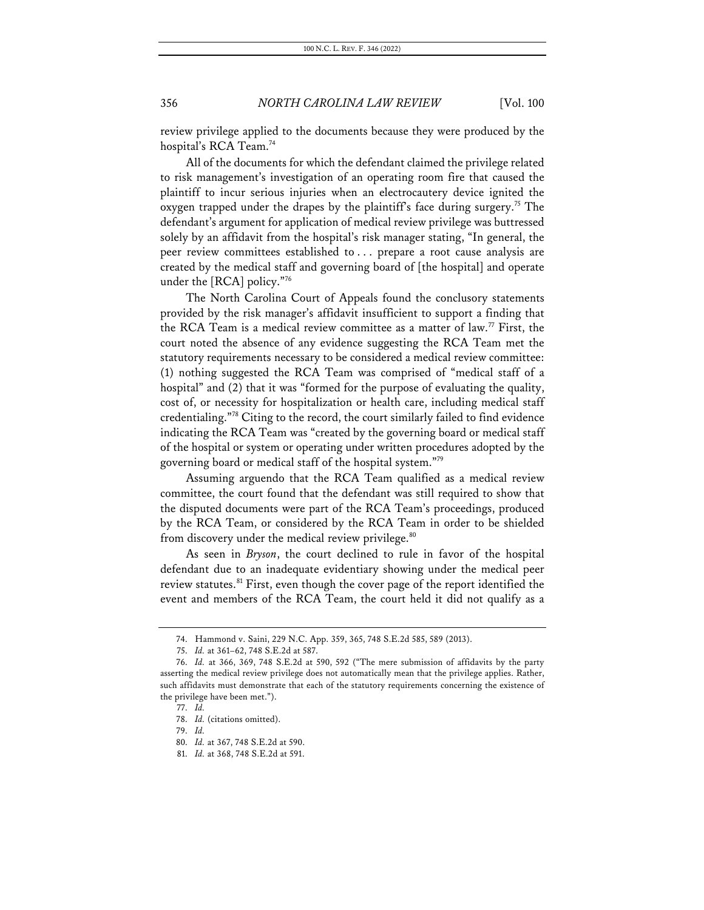review privilege applied to the documents because they were produced by the hospital's RCA Team.<sup>74</sup>

All of the documents for which the defendant claimed the privilege related to risk management's investigation of an operating room fire that caused the plaintiff to incur serious injuries when an electrocautery device ignited the oxygen trapped under the drapes by the plaintiff's face during surgery.<sup>75</sup> The defendant's argument for application of medical review privilege was buttressed solely by an affidavit from the hospital's risk manager stating, "In general, the peer review committees established to . . . prepare a root cause analysis are created by the medical staff and governing board of [the hospital] and operate under the [RCA] policy."76

The North Carolina Court of Appeals found the conclusory statements provided by the risk manager's affidavit insufficient to support a finding that the RCA Team is a medical review committee as a matter of law.<sup>77</sup> First, the court noted the absence of any evidence suggesting the RCA Team met the statutory requirements necessary to be considered a medical review committee: (1) nothing suggested the RCA Team was comprised of "medical staff of a hospital" and (2) that it was "formed for the purpose of evaluating the quality, cost of, or necessity for hospitalization or health care, including medical staff credentialing."78 Citing to the record, the court similarly failed to find evidence indicating the RCA Team was "created by the governing board or medical staff of the hospital or system or operating under written procedures adopted by the governing board or medical staff of the hospital system."79

Assuming arguendo that the RCA Team qualified as a medical review committee, the court found that the defendant was still required to show that the disputed documents were part of the RCA Team's proceedings, produced by the RCA Team, or considered by the RCA Team in order to be shielded from discovery under the medical review privilege.<sup>80</sup>

As seen in *Bryson*, the court declined to rule in favor of the hospital defendant due to an inadequate evidentiary showing under the medical peer review statutes.<sup>81</sup> First, even though the cover page of the report identified the event and members of the RCA Team, the court held it did not qualify as a

<sup>74.</sup> Hammond v. Saini, 229 N.C. App. 359, 365, 748 S.E.2d 585, 589 (2013).

<sup>75.</sup> *Id.* at 361–62, 748 S.E.2d at 587.

<sup>76.</sup> *Id.* at 366, 369, 748 S.E.2d at 590, 592 ("The mere submission of affidavits by the party asserting the medical review privilege does not automatically mean that the privilege applies. Rather, such affidavits must demonstrate that each of the statutory requirements concerning the existence of the privilege have been met.").

<sup>77.</sup> *Id.*

<sup>78.</sup> *Id.* (citations omitted).

<sup>79.</sup> *Id.*

<sup>80.</sup> *Id.* at 367, 748 S.E.2d at 590.

<sup>81.</sup> *Id.* at 368, 748 S.E.2d at 591.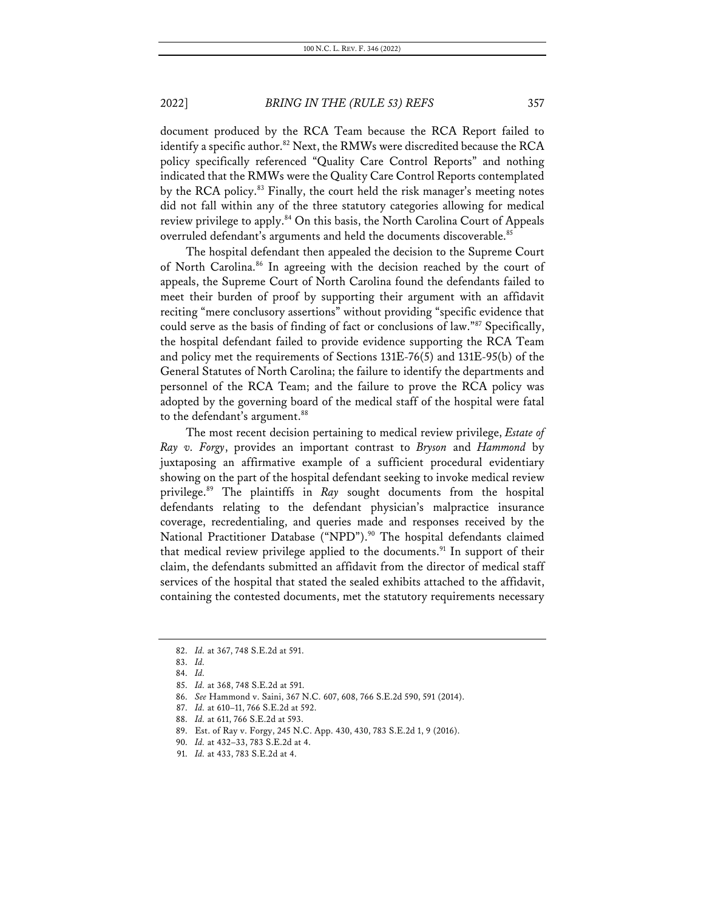document produced by the RCA Team because the RCA Report failed to identify a specific author.<sup>82</sup> Next, the RMWs were discredited because the RCA policy specifically referenced "Quality Care Control Reports" and nothing indicated that the RMWs were the Quality Care Control Reports contemplated by the RCA policy.<sup>83</sup> Finally, the court held the risk manager's meeting notes did not fall within any of the three statutory categories allowing for medical review privilege to apply.<sup>84</sup> On this basis, the North Carolina Court of Appeals overruled defendant's arguments and held the documents discoverable.<sup>85</sup>

The hospital defendant then appealed the decision to the Supreme Court of North Carolina.<sup>86</sup> In agreeing with the decision reached by the court of appeals, the Supreme Court of North Carolina found the defendants failed to meet their burden of proof by supporting their argument with an affidavit reciting "mere conclusory assertions" without providing "specific evidence that could serve as the basis of finding of fact or conclusions of law."87 Specifically, the hospital defendant failed to provide evidence supporting the RCA Team and policy met the requirements of Sections 131E-76(5) and 131E-95(b) of the General Statutes of North Carolina; the failure to identify the departments and personnel of the RCA Team; and the failure to prove the RCA policy was adopted by the governing board of the medical staff of the hospital were fatal to the defendant's argument. 88

The most recent decision pertaining to medical review privilege, *Estate of Ray v. Forgy*, provides an important contrast to *Bryson* and *Hammond* by juxtaposing an affirmative example of a sufficient procedural evidentiary showing on the part of the hospital defendant seeking to invoke medical review privilege.89 The plaintiffs in *Ray* sought documents from the hospital defendants relating to the defendant physician's malpractice insurance coverage, recredentialing, and queries made and responses received by the National Practitioner Database ("NPD").<sup>90</sup> The hospital defendants claimed that medical review privilege applied to the documents.<sup>91</sup> In support of their claim, the defendants submitted an affidavit from the director of medical staff services of the hospital that stated the sealed exhibits attached to the affidavit, containing the contested documents, met the statutory requirements necessary

<sup>82.</sup> *Id.* at 367, 748 S.E.2d at 591.

<sup>83.</sup> *Id.*

<sup>84.</sup> *Id.*

<sup>85.</sup> *Id.* at 368, 748 S.E.2d at 591.

<sup>86.</sup> *See* Hammond v. Saini, 367 N.C. 607, 608, 766 S.E.2d 590, 591 (2014).

<sup>87.</sup> *Id.* at 610–11, 766 S.E.2d at 592.

<sup>88.</sup> *Id.* at 611, 766 S.E.2d at 593.

<sup>89.</sup> Est. of Ray v. Forgy, 245 N.C. App. 430, 430, 783 S.E.2d 1, 9 (2016).

<sup>90.</sup> *Id.* at 432–33, 783 S.E.2d at 4.

<sup>91.</sup> *Id.* at 433, 783 S.E.2d at 4.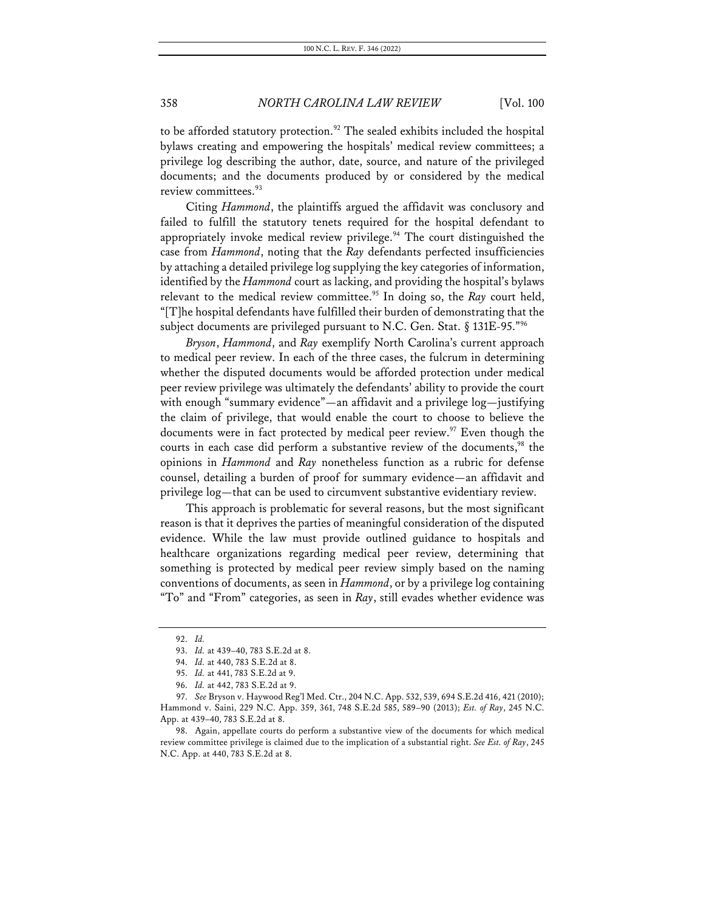to be afforded statutory protection. <sup>92</sup> The sealed exhibits included the hospital bylaws creating and empowering the hospitals' medical review committees; a privilege log describing the author, date, source, and nature of the privileged documents; and the documents produced by or considered by the medical review committees. 93

Citing *Hammond*, the plaintiffs argued the affidavit was conclusory and failed to fulfill the statutory tenets required for the hospital defendant to appropriately invoke medical review privilege.<sup>94</sup> The court distinguished the case from *Hammond*, noting that the *Ray* defendants perfected insufficiencies by attaching a detailed privilege log supplying the key categories of information, identified by the *Hammond* court as lacking, and providing the hospital's bylaws relevant to the medical review committee. <sup>95</sup> In doing so, the *Ray* court held, "[T]he hospital defendants have fulfilled their burden of demonstrating that the subject documents are privileged pursuant to N.C. Gen. Stat. § 131E-95."96

*Bryson*, *Hammond*, and *Ray* exemplify North Carolina's current approach to medical peer review. In each of the three cases, the fulcrum in determining whether the disputed documents would be afforded protection under medical peer review privilege was ultimately the defendants' ability to provide the court with enough "summary evidence"—an affidavit and a privilege log—justifying the claim of privilege, that would enable the court to choose to believe the documents were in fact protected by medical peer review.<sup>97</sup> Even though the courts in each case did perform a substantive review of the documents,<sup>98</sup> the opinions in *Hammond* and *Ray* nonetheless function as a rubric for defense counsel, detailing a burden of proof for summary evidence—an affidavit and privilege log—that can be used to circumvent substantive evidentiary review.

This approach is problematic for several reasons, but the most significant reason is that it deprives the parties of meaningful consideration of the disputed evidence. While the law must provide outlined guidance to hospitals and healthcare organizations regarding medical peer review, determining that something is protected by medical peer review simply based on the naming conventions of documents, as seen in *Hammond*, or by a privilege log containing "To" and "From" categories, as seen in *Ray*, still evades whether evidence was

<sup>92.</sup> *Id.*

<sup>93.</sup> *Id.* at 439–40, 783 S.E.2d at 8.

<sup>94.</sup> *Id.* at 440, 783 S.E.2d at 8.

<sup>95.</sup> *Id.* at 441, 783 S.E.2d at 9.

<sup>96.</sup> *Id.* at 442, 783 S.E.2d at 9.

<sup>97.</sup> *See* Bryson v. Haywood Reg'l Med. Ctr., 204 N.C. App. 532, 539, 694 S.E.2d 416, 421 (2010); Hammond v. Saini, 229 N.C. App. 359, 361, 748 S.E.2d 585, 589–90 (2013); *Est. of Ray*, 245 N.C. App. at 439–40, 783 S.E.2d at 8.

<sup>98.</sup> Again, appellate courts do perform a substantive view of the documents for which medical review committee privilege is claimed due to the implication of a substantial right. *See Est. of Ray*, 245 N.C. App. at 440, 783 S.E.2d at 8.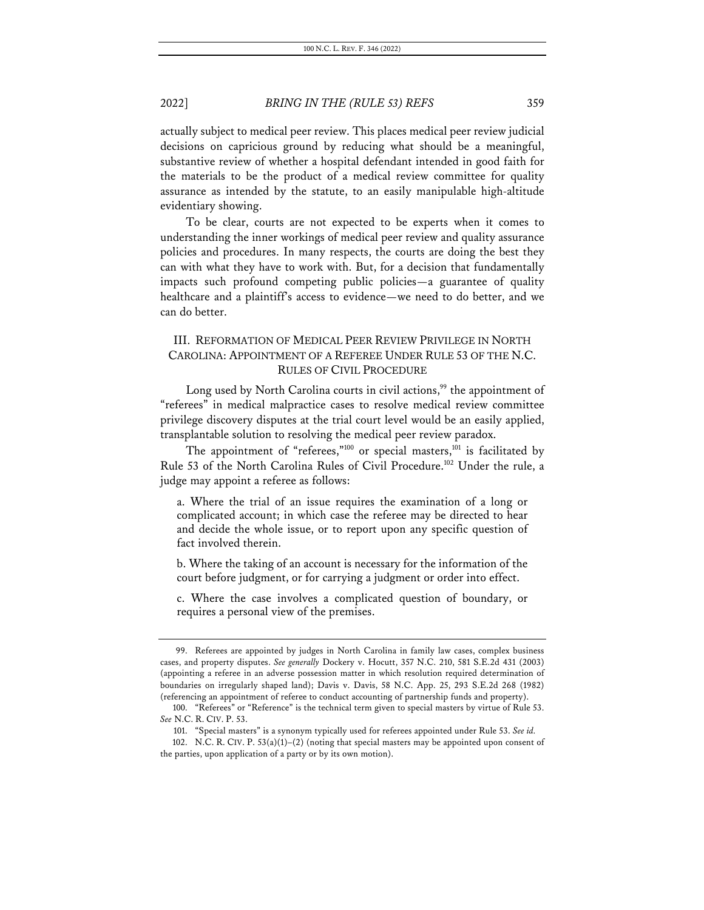actually subject to medical peer review. This places medical peer review judicial decisions on capricious ground by reducing what should be a meaningful, substantive review of whether a hospital defendant intended in good faith for the materials to be the product of a medical review committee for quality assurance as intended by the statute, to an easily manipulable high-altitude evidentiary showing.

To be clear, courts are not expected to be experts when it comes to understanding the inner workings of medical peer review and quality assurance policies and procedures. In many respects, the courts are doing the best they can with what they have to work with. But, for a decision that fundamentally impacts such profound competing public policies—a guarantee of quality healthcare and a plaintiff's access to evidence—we need to do better, and we can do better.

# III. REFORMATION OF MEDICAL PEER REVIEW PRIVILEGE IN NORTH CAROLINA: APPOINTMENT OF A REFEREE UNDER RULE 53 OF THE N.C. RULES OF CIVIL PROCEDURE

Long used by North Carolina courts in civil actions,<sup>99</sup> the appointment of "referees" in medical malpractice cases to resolve medical review committee privilege discovery disputes at the trial court level would be an easily applied, transplantable solution to resolving the medical peer review paradox.

The appointment of "referees," $100$  or special masters, $101$  is facilitated by Rule 53 of the North Carolina Rules of Civil Procedure.<sup>102</sup> Under the rule, a judge may appoint a referee as follows:

a. Where the trial of an issue requires the examination of a long or complicated account; in which case the referee may be directed to hear and decide the whole issue, or to report upon any specific question of fact involved therein.

b. Where the taking of an account is necessary for the information of the court before judgment, or for carrying a judgment or order into effect.

c. Where the case involves a complicated question of boundary, or requires a personal view of the premises.

<sup>99.</sup> Referees are appointed by judges in North Carolina in family law cases, complex business cases, and property disputes. *See generally* Dockery v. Hocutt, 357 N.C. 210, 581 S.E.2d 431 (2003) (appointing a referee in an adverse possession matter in which resolution required determination of boundaries on irregularly shaped land); Davis v. Davis, 58 N.C. App. 25, 293 S.E.2d 268 (1982) (referencing an appointment of referee to conduct accounting of partnership funds and property).

<sup>100.</sup> "Referees" or "Reference" is the technical term given to special masters by virtue of Rule 53. *See* N.C. R. CIV. P. 53.

<sup>101.</sup> "Special masters" is a synonym typically used for referees appointed under Rule 53. *See id.*

<sup>102.</sup> N.C. R. CIV. P.  $53(a)(1)-(2)$  (noting that special masters may be appointed upon consent of the parties, upon application of a party or by its own motion).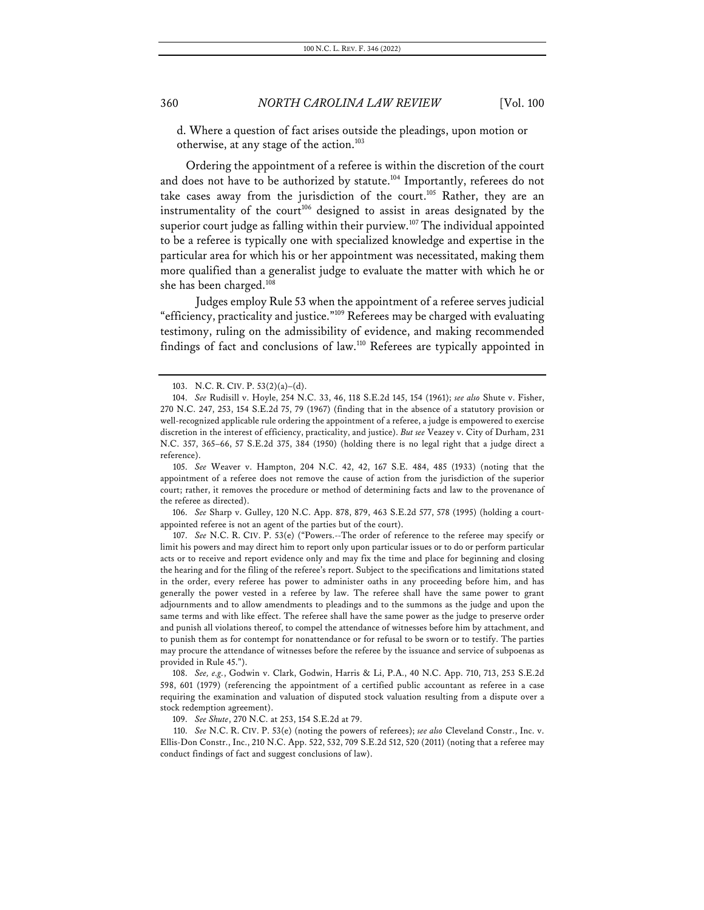d. Where a question of fact arises outside the pleadings, upon motion or otherwise, at any stage of the action.<sup>103</sup>

Ordering the appointment of a referee is within the discretion of the court and does not have to be authorized by statute.<sup>104</sup> Importantly, referees do not take cases away from the jurisdiction of the court.<sup>105</sup> Rather, they are an instrumentality of the court<sup>106</sup> designed to assist in areas designated by the superior court judge as falling within their purview.<sup>107</sup> The individual appointed to be a referee is typically one with specialized knowledge and expertise in the particular area for which his or her appointment was necessitated, making them more qualified than a generalist judge to evaluate the matter with which he or she has been charged.<sup>108</sup>

Judges employ Rule 53 when the appointment of a referee serves judicial "efficiency, practicality and justice."109 Referees may be charged with evaluating testimony, ruling on the admissibility of evidence, and making recommended findings of fact and conclusions of law.110 Referees are typically appointed in

106. *See* Sharp v. Gulley, 120 N.C. App. 878, 879, 463 S.E.2d 577, 578 (1995) (holding a courtappointed referee is not an agent of the parties but of the court).

107. *See* N.C. R. CIV. P. 53(e) ("Powers.--The order of reference to the referee may specify or limit his powers and may direct him to report only upon particular issues or to do or perform particular acts or to receive and report evidence only and may fix the time and place for beginning and closing the hearing and for the filing of the referee's report. Subject to the specifications and limitations stated in the order, every referee has power to administer oaths in any proceeding before him, and has generally the power vested in a referee by law. The referee shall have the same power to grant adjournments and to allow amendments to pleadings and to the summons as the judge and upon the same terms and with like effect. The referee shall have the same power as the judge to preserve order and punish all violations thereof, to compel the attendance of witnesses before him by attachment, and to punish them as for contempt for nonattendance or for refusal to be sworn or to testify. The parties may procure the attendance of witnesses before the referee by the issuance and service of subpoenas as provided in Rule 45.").

108. *See, e.g.*, Godwin v. Clark, Godwin, Harris & Li, P.A., 40 N.C. App. 710, 713, 253 S.E.2d 598, 601 (1979) (referencing the appointment of a certified public accountant as referee in a case requiring the examination and valuation of disputed stock valuation resulting from a dispute over a stock redemption agreement).

109. *See Shute*, 270 N.C. at 253, 154 S.E.2d at 79.

110. *See* N.C. R. CIV. P. 53(e) (noting the powers of referees); *see also* Cleveland Constr., Inc. v. Ellis-Don Constr., Inc., 210 N.C. App. 522, 532, 709 S.E.2d 512, 520 (2011) (noting that a referee may conduct findings of fact and suggest conclusions of law).

<sup>103.</sup> N.C. R. CIV. P. 53(2)(a)–(d).

<sup>104.</sup> *See* Rudisill v. Hoyle, 254 N.C. 33, 46, 118 S.E.2d 145, 154 (1961); *see also* Shute v. Fisher, 270 N.C. 247, 253, 154 S.E.2d 75, 79 (1967) (finding that in the absence of a statutory provision or well-recognized applicable rule ordering the appointment of a referee, a judge is empowered to exercise discretion in the interest of efficiency, practicality, and justice). *But see* Veazey v. City of Durham, 231 N.C. 357, 365–66, 57 S.E.2d 375, 384 (1950) (holding there is no legal right that a judge direct a reference).

<sup>105.</sup> *See* Weaver v. Hampton, 204 N.C. 42, 42, 167 S.E. 484, 485 (1933) (noting that the appointment of a referee does not remove the cause of action from the jurisdiction of the superior court; rather, it removes the procedure or method of determining facts and law to the provenance of the referee as directed).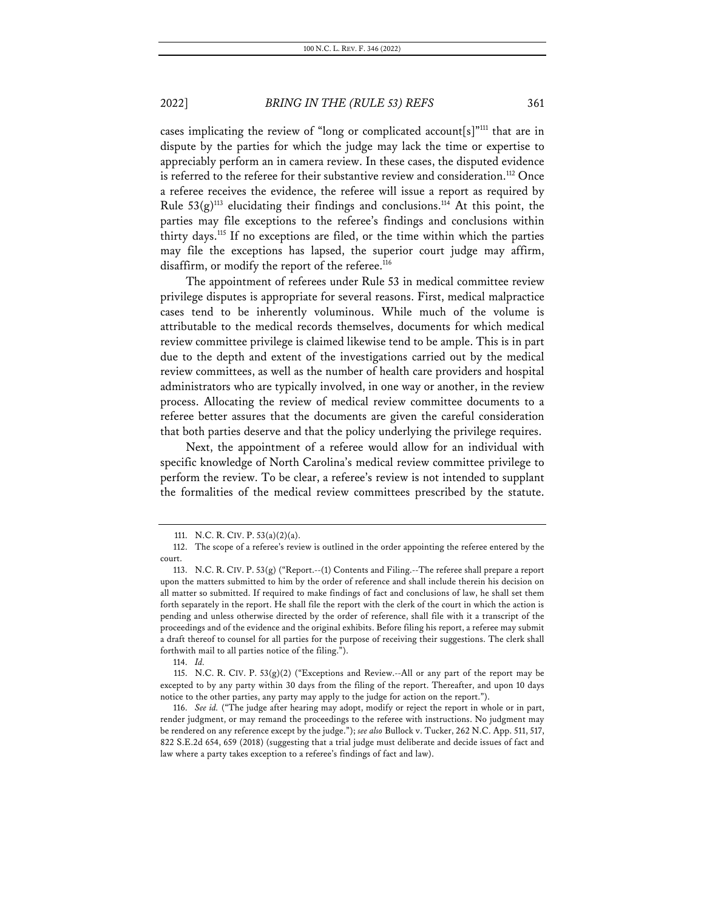cases implicating the review of "long or complicated account[s]"111 that are in dispute by the parties for which the judge may lack the time or expertise to appreciably perform an in camera review. In these cases, the disputed evidence is referred to the referee for their substantive review and consideration.<sup>112</sup> Once a referee receives the evidence, the referee will issue a report as required by Rule  $53(g)^{113}$  elucidating their findings and conclusions.<sup>114</sup> At this point, the parties may file exceptions to the referee's findings and conclusions within thirty days.115 If no exceptions are filed, or the time within which the parties may file the exceptions has lapsed, the superior court judge may affirm, disaffirm, or modify the report of the referee.<sup>116</sup>

The appointment of referees under Rule 53 in medical committee review privilege disputes is appropriate for several reasons. First, medical malpractice cases tend to be inherently voluminous. While much of the volume is attributable to the medical records themselves, documents for which medical review committee privilege is claimed likewise tend to be ample. This is in part due to the depth and extent of the investigations carried out by the medical review committees, as well as the number of health care providers and hospital administrators who are typically involved, in one way or another, in the review process. Allocating the review of medical review committee documents to a referee better assures that the documents are given the careful consideration that both parties deserve and that the policy underlying the privilege requires.

Next, the appointment of a referee would allow for an individual with specific knowledge of North Carolina's medical review committee privilege to perform the review. To be clear, a referee's review is not intended to supplant the formalities of the medical review committees prescribed by the statute.

<sup>111.</sup> N.C. R. CIV. P. 53(a)(2)(a).

<sup>112.</sup> The scope of a referee's review is outlined in the order appointing the referee entered by the court.

<sup>113.</sup> N.C. R. CIV. P. 53(g) ("Report.--(1) Contents and Filing.--The referee shall prepare a report upon the matters submitted to him by the order of reference and shall include therein his decision on all matter so submitted. If required to make findings of fact and conclusions of law, he shall set them forth separately in the report. He shall file the report with the clerk of the court in which the action is pending and unless otherwise directed by the order of reference, shall file with it a transcript of the proceedings and of the evidence and the original exhibits. Before filing his report, a referee may submit a draft thereof to counsel for all parties for the purpose of receiving their suggestions. The clerk shall forthwith mail to all parties notice of the filing.").

<sup>114.</sup> *Id.*

<sup>115.</sup> N.C. R. CIV. P.  $53(g)(2)$  ("Exceptions and Review.--All or any part of the report may be excepted to by any party within 30 days from the filing of the report. Thereafter, and upon 10 days notice to the other parties, any party may apply to the judge for action on the report.").

<sup>116.</sup> *See id.* ("The judge after hearing may adopt, modify or reject the report in whole or in part, render judgment, or may remand the proceedings to the referee with instructions. No judgment may be rendered on any reference except by the judge."); *see also* Bullock v. Tucker, 262 N.C. App. 511, 517, 822 S.E.2d 654, 659 (2018) (suggesting that a trial judge must deliberate and decide issues of fact and law where a party takes exception to a referee's findings of fact and law).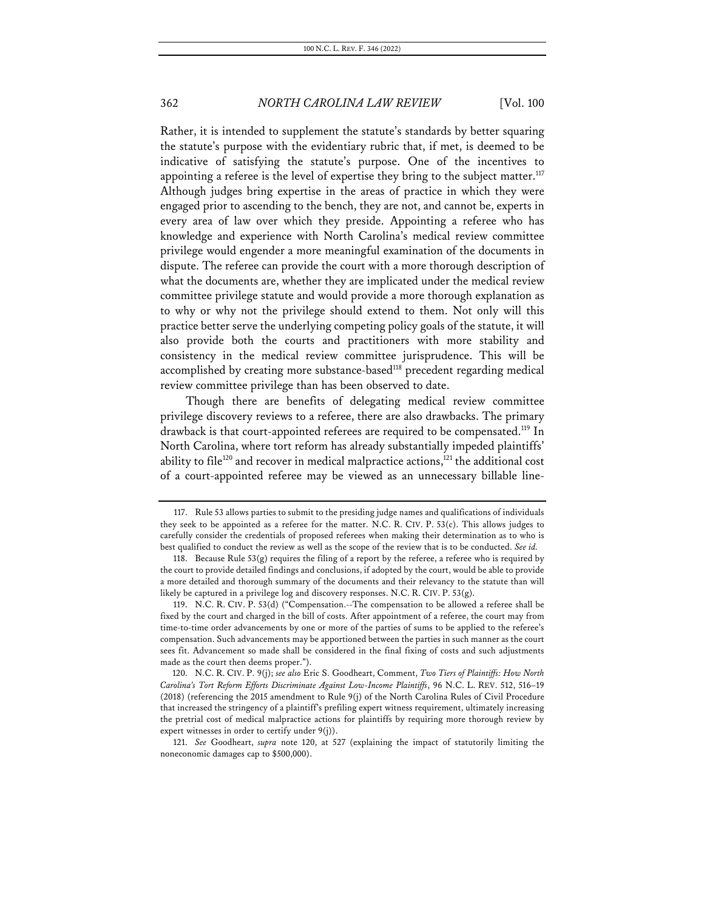Rather, it is intended to supplement the statute's standards by better squaring the statute's purpose with the evidentiary rubric that, if met, is deemed to be indicative of satisfying the statute's purpose. One of the incentives to appointing a referee is the level of expertise they bring to the subject matter. $117$ Although judges bring expertise in the areas of practice in which they were engaged prior to ascending to the bench, they are not, and cannot be, experts in every area of law over which they preside. Appointing a referee who has knowledge and experience with North Carolina's medical review committee privilege would engender a more meaningful examination of the documents in dispute. The referee can provide the court with a more thorough description of what the documents are, whether they are implicated under the medical review committee privilege statute and would provide a more thorough explanation as to why or why not the privilege should extend to them. Not only will this practice better serve the underlying competing policy goals of the statute, it will also provide both the courts and practitioners with more stability and consistency in the medical review committee jurisprudence. This will be accomplished by creating more substance-based<sup>118</sup> precedent regarding medical review committee privilege than has been observed to date.

Though there are benefits of delegating medical review committee privilege discovery reviews to a referee, there are also drawbacks. The primary drawback is that court-appointed referees are required to be compensated.<sup>119</sup> In North Carolina, where tort reform has already substantially impeded plaintiffs' ability to file<sup>120</sup> and recover in medical malpractice actions,<sup>121</sup> the additional cost of a court-appointed referee may be viewed as an unnecessary billable line-

121. *See* Goodheart, *supra* note 120, at 527 (explaining the impact of statutorily limiting the noneconomic damages cap to \$500,000).

<sup>117.</sup> Rule 53 allows parties to submit to the presiding judge names and qualifications of individuals they seek to be appointed as a referee for the matter. N.C. R. CIV. P. 53(c). This allows judges to carefully consider the credentials of proposed referees when making their determination as to who is best qualified to conduct the review as well as the scope of the review that is to be conducted. *See id.*

<sup>118.</sup> Because Rule  $53(g)$  requires the filing of a report by the referee, a referee who is required by the court to provide detailed findings and conclusions, if adopted by the court, would be able to provide a more detailed and thorough summary of the documents and their relevancy to the statute than will likely be captured in a privilege log and discovery responses. N.C. R. CIV. P. 53(g).

<sup>119.</sup> N.C. R. CIV. P. 53(d) ("Compensation.--The compensation to be allowed a referee shall be fixed by the court and charged in the bill of costs. After appointment of a referee, the court may from time-to-time order advancements by one or more of the parties of sums to be applied to the referee's compensation. Such advancements may be apportioned between the parties in such manner as the court sees fit. Advancement so made shall be considered in the final fixing of costs and such adjustments made as the court then deems proper.").

<sup>120.</sup> N.C. R. CIV. P. 9(j); *see also* Eric S. Goodheart, Comment, *Two Tiers of Plaintiffs: How North Carolina's Tort Reform Efforts Discriminate Against Low-Income Plaintiffs*, 96 N.C. L. REV. 512, 516–19 (2018) (referencing the 2015 amendment to Rule 9(j) of the North Carolina Rules of Civil Procedure that increased the stringency of a plaintiff's prefiling expert witness requirement, ultimately increasing the pretrial cost of medical malpractice actions for plaintiffs by requiring more thorough review by expert witnesses in order to certify under 9(j)).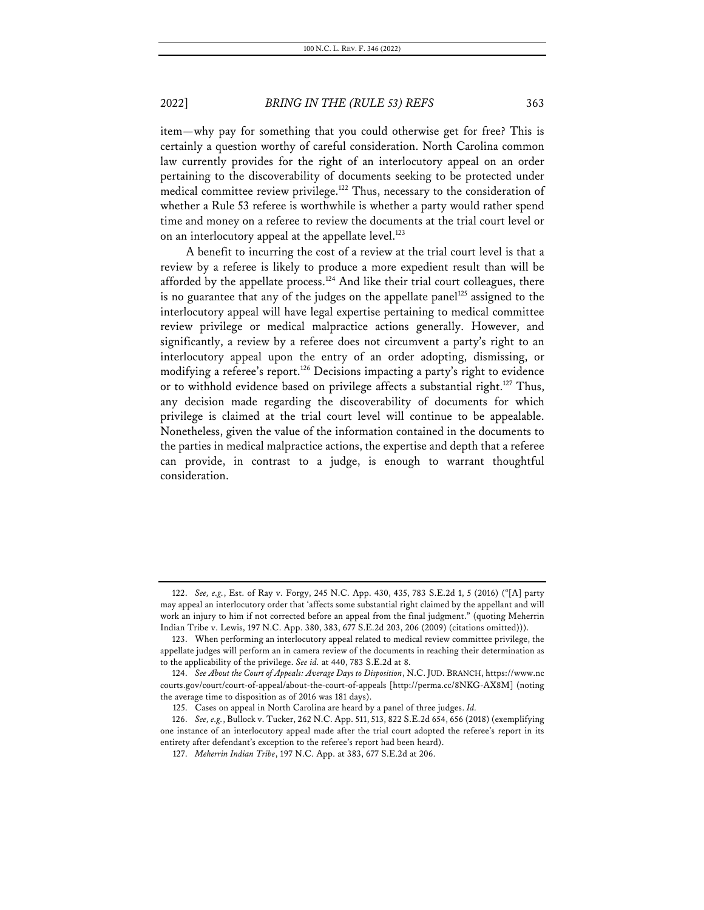item—why pay for something that you could otherwise get for free? This is certainly a question worthy of careful consideration. North Carolina common law currently provides for the right of an interlocutory appeal on an order pertaining to the discoverability of documents seeking to be protected under medical committee review privilege.<sup>122</sup> Thus, necessary to the consideration of whether a Rule 53 referee is worthwhile is whether a party would rather spend time and money on a referee to review the documents at the trial court level or on an interlocutory appeal at the appellate level. $^{123}$ 

A benefit to incurring the cost of a review at the trial court level is that a review by a referee is likely to produce a more expedient result than will be afforded by the appellate process.<sup>124</sup> And like their trial court colleagues, there is no guarantee that any of the judges on the appellate panel<sup>125</sup> assigned to the interlocutory appeal will have legal expertise pertaining to medical committee review privilege or medical malpractice actions generally. However, and significantly, a review by a referee does not circumvent a party's right to an interlocutory appeal upon the entry of an order adopting, dismissing, or modifying a referee's report.<sup>126</sup> Decisions impacting a party's right to evidence or to withhold evidence based on privilege affects a substantial right.<sup>127</sup> Thus, any decision made regarding the discoverability of documents for which privilege is claimed at the trial court level will continue to be appealable. Nonetheless, given the value of the information contained in the documents to the parties in medical malpractice actions, the expertise and depth that a referee can provide, in contrast to a judge, is enough to warrant thoughtful consideration.

<sup>122.</sup> *See, e.g.*, Est. of Ray v. Forgy, 245 N.C. App. 430, 435, 783 S.E.2d 1, 5 (2016) ("[A] party may appeal an interlocutory order that 'affects some substantial right claimed by the appellant and will work an injury to him if not corrected before an appeal from the final judgment." (quoting Meherrin Indian Tribe v. Lewis, 197 N.C. App. 380, 383, 677 S.E.2d 203, 206 (2009) (citations omitted))).

<sup>123.</sup> When performing an interlocutory appeal related to medical review committee privilege, the appellate judges will perform an in camera review of the documents in reaching their determination as to the applicability of the privilege. *See id.* at 440, 783 S.E.2d at 8.

<sup>124.</sup> *See About the Court of Appeals: Average Days to Disposition*, N.C. JUD. BRANCH, https://www.nc courts.gov/court/court-of-appeal/about-the-court-of-appeals [http://perma.cc/8NKG-AX8M] (noting the average time to disposition as of 2016 was 181 days).

<sup>125.</sup> Cases on appeal in North Carolina are heard by a panel of three judges. *Id.*

<sup>126.</sup> *See, e.g.*, Bullock v. Tucker, 262 N.C. App. 511, 513, 822 S.E.2d 654, 656 (2018) (exemplifying one instance of an interlocutory appeal made after the trial court adopted the referee's report in its entirety after defendant's exception to the referee's report had been heard).

<sup>127.</sup> *Meherrin Indian Tribe*, 197 N.C. App. at 383, 677 S.E.2d at 206.